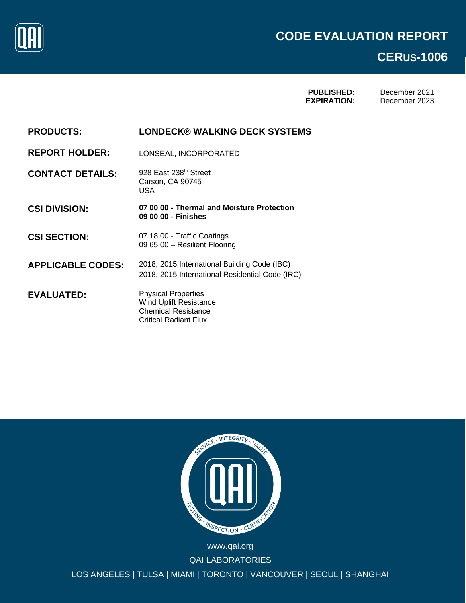

## **CERUS-1006**

**PUBLISHED: EXPIRATION:**

December 2021 December 2023

**PRODUCTS: LONDECK® WALKING DECK SYSTEMS**

**REPORT HOLDER:** LONSEAL, INCORPORATED

**CONTACT DETAILS:** 928 East 238th Street Carson, CA 90745 USA

**CSI DIVISION: 07 00 00 - Thermal and Moisture Protection 09 00 00 - Finishes**

CSI SECTION: 07 18 00 - Traffic Coatings 09 65 00 – Resilient Flooring

**APPLICABLE CODES:** 2018, 2015 International Building Code (IBC) 2018, 2015 International Residential Code (IRC)

**EVALUATED:** Physical Properties Wind Uplift Resistance Chemical Resistance Critical Radiant Flux



QAI LABORATORIES LOS ANGELES | TULSA | MIAMI | TORONTO | VANCOUVER | SEOUL | SHANGHAI www.qai.org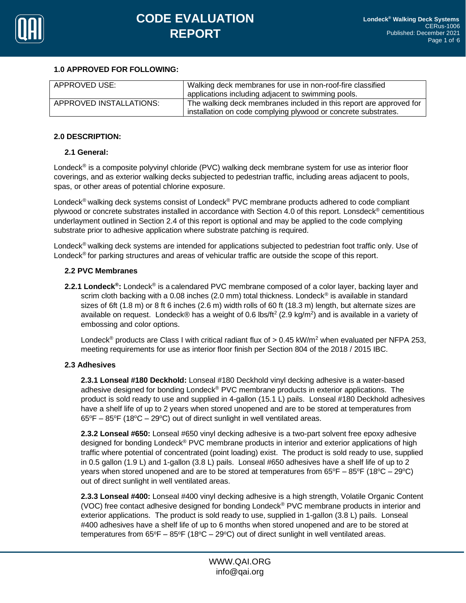

## **1.0 APPROVED FOR FOLLOWING:**

| APPROVED USE:           | Walking deck membranes for use in non-roof-fire classified<br>applications including adjacent to swimming pools.                      |  |
|-------------------------|---------------------------------------------------------------------------------------------------------------------------------------|--|
| APPROVED INSTALLATIONS: | The walking deck membranes included in this report are approved for<br>installation on code complying plywood or concrete substrates. |  |

## **2.0 DESCRIPTION:**

## **2.1 General:**

Londeck<sup>®</sup> is a composite polyvinyl chloride (PVC) walking deck membrane system for use as interior floor coverings, and as exterior walking decks subjected to pedestrian traffic, including areas adjacent to pools, spas, or other areas of potential chlorine exposure.

Londeck<sup>®</sup> walking deck systems consist of Londeck<sup>®</sup> PVC membrane products adhered to code compliant plywood or concrete substrates installed in accordance with Section 4.0 of this report. Lonsdeck® cementitious underlayment outlined in Section 2.4 of this report is optional and may be applied to the code complying substrate prior to adhesive application where substrate patching is required.

Londeck<sup>®</sup> walking deck systems are intended for applications subjected to pedestrian foot traffic only. Use of Londeck® for parking structures and areas of vehicular traffic are outside the scope of this report.

## **2.2 PVC Membranes**

**2.2.1 Londeck® :** Londeck® is a calendared PVC membrane composed of a color layer, backing layer and scrim cloth backing with a 0.08 inches (2.0 mm) total thickness. Londeck® is available in standard sizes of 6ft (1.8 m) or 8 ft 6 inches (2.6 m) width rolls of 60 ft (18.3 m) length, but alternate sizes are available on request. Londeck® has a weight of 0.6 lbs/ft<sup>2</sup> (2.9 kg/m<sup>2</sup>) and is available in a variety of embossing and color options.

Londeck<sup>®</sup> products are Class I with critical radiant flux of  $> 0.45$  kW/m<sup>2</sup> when evaluated per NFPA 253, meeting requirements for use as interior floor finish per Section 804 of the 2018 / 2015 IBC.

## **2.3 Adhesives**

**2.3.1 Lonseal #180 Deckhold:** Lonseal #180 Deckhold vinyl decking adhesive is a water-based adhesive designed for bonding Londeck® PVC membrane products in exterior applications. The product is sold ready to use and supplied in 4-gallon (15.1 L) pails. Lonseal #180 Deckhold adhesives have a shelf life of up to 2 years when stored unopened and are to be stored at temperatures from  $65^{\circ}F - 85^{\circ}F$  (18 $^{\circ}C - 29^{\circ}C$ ) out of direct sunlight in well ventilated areas.

**2.3.2 Lonseal #650:** Lonseal #650 vinyl decking adhesive is a two-part solvent free epoxy adhesive designed for bonding Londeck® PVC membrane products in interior and exterior applications of high traffic where potential of concentrated (point loading) exist. The product is sold ready to use, supplied in 0.5 gallon (1.9 L) and 1-gallon (3.8 L) pails. Lonseal #650 adhesives have a shelf life of up to 2 years when stored unopened and are to be stored at temperatures from  $65^{\circ}F - 85^{\circ}F$  (18 $^{\circ}C - 29^{\circ}C$ ) out of direct sunlight in well ventilated areas.

**2.3.3 Lonseal #400:** Lonseal #400 vinyl decking adhesive is a high strength, Volatile Organic Content (VOC) free contact adhesive designed for bonding Londeck® PVC membrane products in interior and exterior applications. The product is sold ready to use, supplied in 1-gallon (3.8 L) pails. Lonseal #400 adhesives have a shelf life of up to 6 months when stored unopened and are to be stored at temperatures from  $65^{\circ}F - 85^{\circ}F$  (18 $^{\circ}C - 29^{\circ}C$ ) out of direct sunlight in well ventilated areas.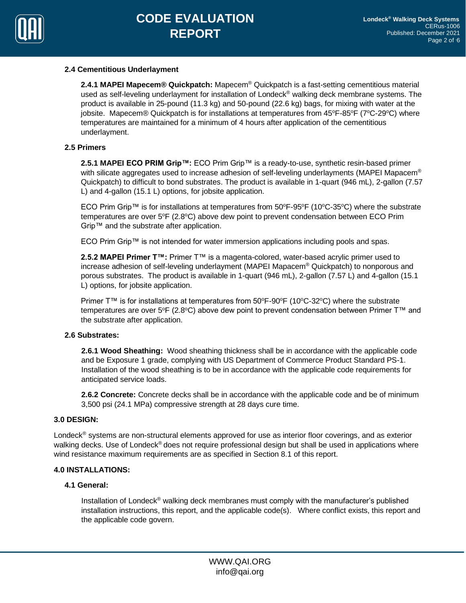

## **2.4 Cementitious Underlayment**

**2.4.1 MAPEI Mapecem® Quickpatch:** Mapecem® Quickpatch is a fast-setting cementitious material used as self-leveling underlayment for installation of Londeck<sup>®</sup> walking deck membrane systems. The product is available in 25-pound (11.3 kg) and 50-pound (22.6 kg) bags, for mixing with water at the jobsite. Mapecem® Quickpatch is for installations at temperatures from 45°F-85°F (7°C-29°C) where temperatures are maintained for a minimum of 4 hours after application of the cementitious underlayment.

## **2.5 Primers**

**2.5.1 MAPEI ECO PRIM Grip™:** ECO Prim Grip™ is a ready-to-use, synthetic resin-based primer with silicate aggregates used to increase adhesion of self-leveling underlayments (MAPEI Mapacem® Quickpatch) to difficult to bond substrates. The product is available in 1-quart (946 mL), 2-gallon (7.57 L) and 4-gallon (15.1 L) options, for jobsite application.

ECO Prim Grip™ is for installations at temperatures from 50°F-95°F (10°C-35°C) where the substrate temperatures are over  $5^{\circ}F$  (2.8 $^{\circ}C$ ) above dew point to prevent condensation between ECO Prim Grip™ and the substrate after application.

ECO Prim Grip™ is not intended for water immersion applications including pools and spas.

**2.5.2 MAPEI Primer T™:** Primer T™ is a magenta-colored, water-based acrylic primer used to increase adhesion of self-leveling underlayment (MAPEI Mapacem® Quickpatch) to nonporous and porous substrates. The product is available in 1-quart (946 mL), 2-gallon (7.57 L) and 4-gallon (15.1 L) options, for jobsite application.

Primer T™ is for installations at temperatures from 50°F-90°F (10°C-32°C) where the substrate temperatures are over 5°F (2.8°C) above dew point to prevent condensation between Primer  $T^M$  and the substrate after application.

## **2.6 Substrates:**

**2.6.1 Wood Sheathing:** Wood sheathing thickness shall be in accordance with the applicable code and be Exposure 1 grade, complying with US Department of Commerce Product Standard PS-1. Installation of the wood sheathing is to be in accordance with the applicable code requirements for anticipated service loads.

**2.6.2 Concrete:** Concrete decks shall be in accordance with the applicable code and be of minimum 3,500 psi (24.1 MPa) compressive strength at 28 days cure time.

## **3.0 DESIGN:**

Londeck<sup>®</sup> systems are non-structural elements approved for use as interior floor coverings, and as exterior walking decks. Use of Londeck<sup>®</sup> does not require professional design but shall be used in applications where wind resistance maximum requirements are as specified in Section 8.1 of this report.

## **4.0 INSTALLATIONS:**

## **4.1 General:**

Installation of Londeck® walking deck membranes must comply with the manufacturer's published installation instructions, this report, and the applicable code(s). Where conflict exists, this report and the applicable code govern.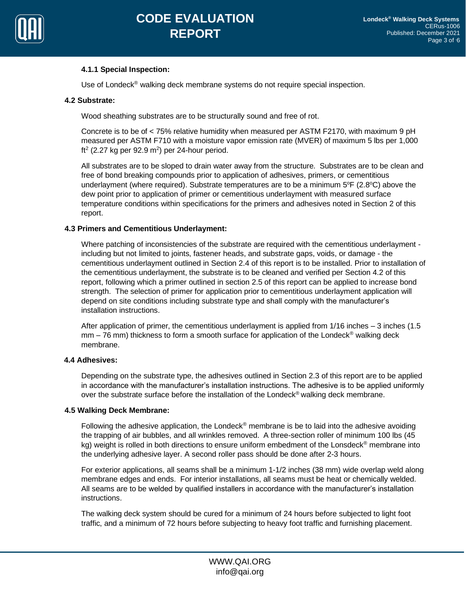

## **4.1.1 Special Inspection:**

Use of Londeck<sup>®</sup> walking deck membrane systems do not require special inspection.

#### **4.2 Substrate:**

Wood sheathing substrates are to be structurally sound and free of rot.

Concrete is to be of < 75% relative humidity when measured per ASTM F2170, with maximum 9 pH measured per ASTM F710 with a moisture vapor emission rate (MVER) of maximum 5 lbs per 1,000 ft<sup>2</sup> (2.27 kg per 92.9 m<sup>2</sup>) per 24-hour period.

All substrates are to be sloped to drain water away from the structure. Substrates are to be clean and free of bond breaking compounds prior to application of adhesives, primers, or cementitious underlayment (where required). Substrate temperatures are to be a minimum 5°F (2.8°C) above the dew point prior to application of primer or cementitious underlayment with measured surface temperature conditions within specifications for the primers and adhesives noted in Section 2 of this report.

## **4.3 Primers and Cementitious Underlayment:**

Where patching of inconsistencies of the substrate are required with the cementitious underlayment including but not limited to joints, fastener heads, and substrate gaps, voids, or damage - the cementitious underlayment outlined in Section 2.4 of this report is to be installed. Prior to installation of the cementitious underlayment, the substrate is to be cleaned and verified per Section 4.2 of this report, following which a primer outlined in section 2.5 of this report can be applied to increase bond strength. The selection of primer for application prior to cementitious underlayment application will depend on site conditions including substrate type and shall comply with the manufacturer's installation instructions.

After application of primer, the cementitious underlayment is applied from 1/16 inches – 3 inches (1.5  $mm - 76$  mm) thickness to form a smooth surface for application of the Londeck<sup>®</sup> walking deck membrane.

## **4.4 Adhesives:**

Depending on the substrate type, the adhesives outlined in Section 2.3 of this report are to be applied in accordance with the manufacturer's installation instructions. The adhesive is to be applied uniformly over the substrate surface before the installation of the Londeck<sup>®</sup> walking deck membrane.

#### **4.5 Walking Deck Membrane:**

Following the adhesive application, the Londeck<sup>®</sup> membrane is be to laid into the adhesive avoiding the trapping of air bubbles, and all wrinkles removed. A three-section roller of minimum 100 lbs (45 kg) weight is rolled in both directions to ensure uniform embedment of the Lonsdeck<sup>®</sup> membrane into the underlying adhesive layer. A second roller pass should be done after 2-3 hours.

For exterior applications, all seams shall be a minimum 1-1/2 inches (38 mm) wide overlap weld along membrane edges and ends. For interior installations, all seams must be heat or chemically welded. All seams are to be welded by qualified installers in accordance with the manufacturer's installation instructions.

The walking deck system should be cured for a minimum of 24 hours before subjected to light foot traffic, and a minimum of 72 hours before subjecting to heavy foot traffic and furnishing placement.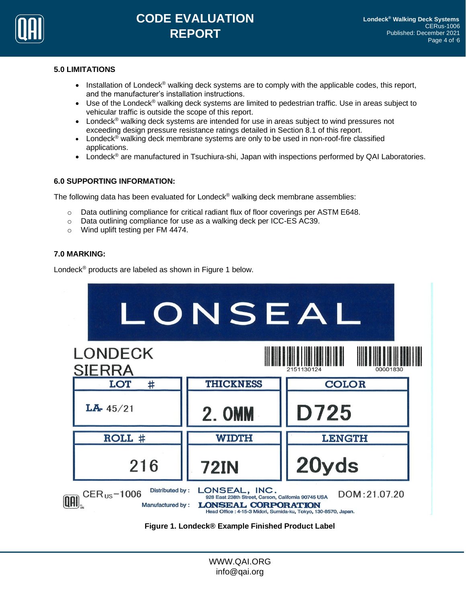

# **CODE EVALUATION REPORT**

## **5.0 LIMITATIONS**

- Installation of Londeck<sup>®</sup> walking deck systems are to comply with the applicable codes, this report, and the manufacturer's installation instructions.
- Use of the Londeck<sup>®</sup> walking deck systems are limited to pedestrian traffic. Use in areas subject to vehicular traffic is outside the scope of this report.
- Londeck<sup>®</sup> walking deck systems are intended for use in areas subject to wind pressures not exceeding design pressure resistance ratings detailed in Section 8.1 of this report.
- Londeck<sup>®</sup> walking deck membrane systems are only to be used in non-roof-fire classified applications.
- Londeck<sup>®</sup> are manufactured in Tsuchiura-shi, Japan with inspections performed by QAI Laboratories.

## **6.0 SUPPORTING INFORMATION:**

The following data has been evaluated for Londeck® walking deck membrane assemblies:

- $\circ$  Data outlining compliance for critical radiant flux of floor coverings per ASTM E648.
- o Data outlining compliance for use as a walking deck per ICC-ES AC39.
- o Wind uplift testing per FM 4474.

## **7.0 MARKING:**

Londeck® products are labeled as shown in Figure 1 below.



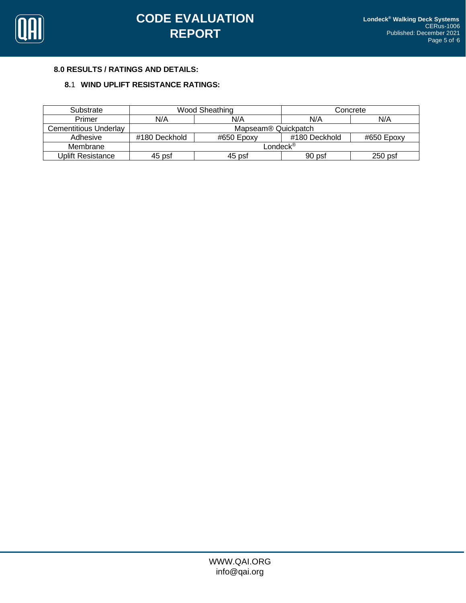

## **8.0 RESULTS / RATINGS AND DETAILS:**

## **8.**1 **WIND UPLIFT RESISTANCE RATINGS:**

| Substrate             | Wood Sheathing                  |            | Concrete      |            |  |
|-----------------------|---------------------------------|------------|---------------|------------|--|
| Primer                | N/A                             | N/A        | N/A           | N/A        |  |
| Cementitious Underlay | Mapseam <sup>®</sup> Quickpatch |            |               |            |  |
| Adhesive              | #180 Deckhold                   | #650 Epoxy | #180 Deckhold | #650 Epoxy |  |
| Membrane              | Londeck $^\circledast$          |            |               |            |  |
| Uplift Resistance     | 45 psf                          | 45 psf     | 90 psf        | $250$ psf  |  |